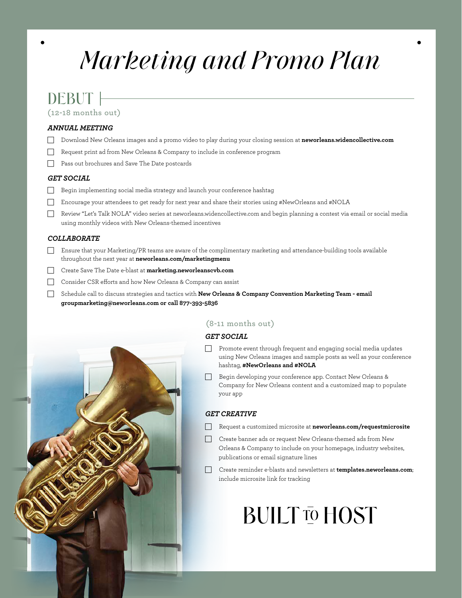# *Marketing and Promo Plan*

# DEBUT |

**(12-18 months out)**

## *ANNUAL MEETING*

- F Download New Orleans images and a promo video to play during your closing session at **neworleans.widencollective.com**
- $\Box$  Request print ad from New Orleans & Company to include in conference program
- F Pass out brochures and Save The Date postcards

## *GET SOCIAL*

- F Begin implementing social media strategy and launch your conference hashtag
- Fincourage your attendees to get ready for next year and share their stories using #NewOrleans and #NOLA
- F Review "Let's Talk NOLA" video series at neworleans.widencollective.com and begin planning a contest via email or social media using monthly videos with New Orleans-themed incentives

## *COLLABORATE*

- $\Box$  Ensure that your Marketing/PR teams are aware of the complimentary marketing and attendance-building tools available throughout the next year at **neworleans.com/marketingmenu**
- Create Save The Date e-blast at **marketing.neworleanscvb.com**
- Consider CSR efforts and how New Orleans & Company can assist
- Schedule call to discuss strategies and tactics with **New Orleans & Company Convention Marketing Team email groupmarketing@neworleans.com or call 877-393-5836**



# **(8-11 months out)**

# *GET SOCIAL*

- Promote event through frequent and engaging social media updates using New Orleans images and sample posts as well as your conference hashtag, **#NewOrleans and #NOLA**
- Begin developing your conference app. Contact New Orleans & Company for New Orleans content and a customized map to populate your app

## *GET CREATIVE*

- Request a customized microsite at **neworleans.com/requestmicrosite**
- Create banner ads or request New Orleans-themed ads from New Orleans & Company to include on your homepage, industry websites, publications or email signature lines
- Create reminder e-blasts and newsletters at **templates.neworleans.com**; include microsite link for tracking

# **BUILT TO HOST**